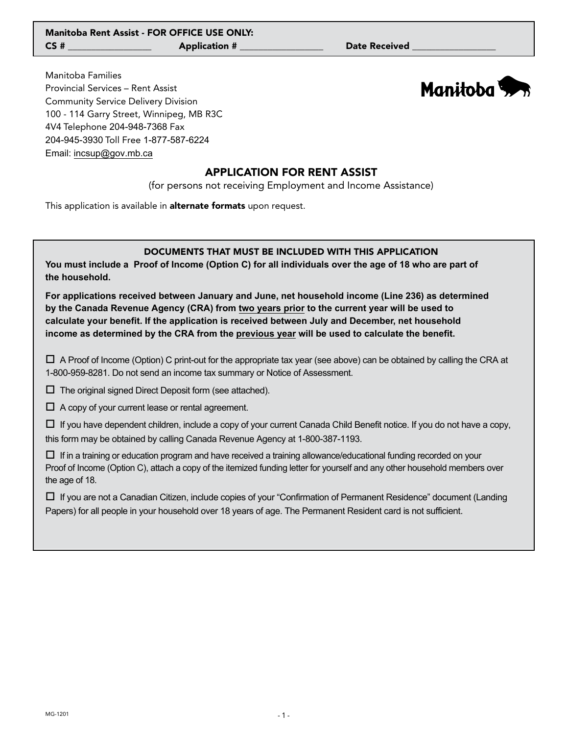Manitoba Families Provincial Services – Rent Assist Community Service Delivery Division 100 - 114 Garry Street, Winnipeg, MB R3C 4V4 Telephone 204-948-7368 Fax 204-945-3930 Toll Free 1-877-587-6224 Email: incsup@gov.mb.ca



# APPLICATION FOR RENT ASSIST

(for persons not receiving Employment and Income Assistance)

This application is available in **alternate formats** upon request.

### DOCUMENTS THAT MUST BE INCLUDED WITH THIS APPLICATION

**You must include a Proof of Income (Option C) for all individuals over the age of 18 who are part of the household.**

**For applications received between January and June, net household income (Line 236) as determined by the Canada Revenue Agency (CRA) from two years prior to the current year will be used to calculate your benefit. If the application is received between July and December, net household income as determined by the CRA from the previous year will be used to calculate the benefit.**

 $\Box$  A Proof of Income (Option) C print-out for the appropriate tax year (see above) can be obtained by calling the CRA at 1-800-959-8281. Do not send an income tax summary or Notice of Assessment.

 $\Box$  The original signed Direct Deposit form (see attached).

 $\Box$  A copy of your current lease or rental agreement.

 $\Box$  If you have dependent children, include a copy of your current Canada Child Benefit notice. If you do not have a copy, this form may be obtained by calling Canada Revenue Agency at 1-800-387-1193.

 $\Box$  If in a training or education program and have received a training allowance/educational funding recorded on your Proof of Income (Option C), attach a copy of the itemized funding letter for yourself and any other household members over the age of 18.

 If you are not a Canadian Citizen, include copies of your "Confirmation of Permanent Residence" document (Landing Papers) for all people in your household over 18 years of age. The Permanent Resident card is not sufficient.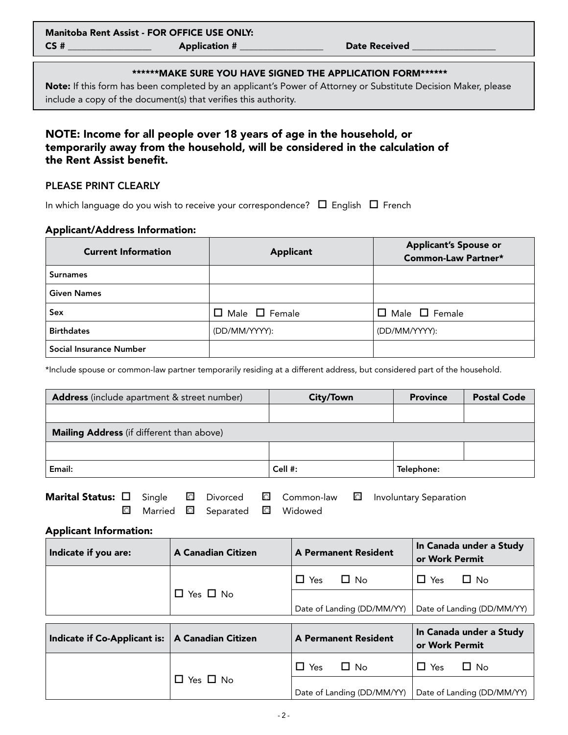#### \*\*\*\*\*\*MAKE SURE YOU HAVE SIGNED THE APPLICATION FORM\*\*\*\*\*\*

Note: If this form has been completed by an applicant's Power of Attorney or Substitute Decision Maker, please include a copy of the document(s) that verifies this authority.

# NOTE: Income for all people over 18 years of age in the household, or temporarily away from the household, will be considered in the calculation of the Rent Assist benefit.

## PLEASE PRINT CLEARLY

In which language do you wish to receive your correspondence?  $\Box$  English  $\Box$  French

#### Applicant/Address Information:

| <b>Current Information</b> | <b>Applicant</b>          | <b>Applicant's Spouse or</b><br><b>Common-Law Partner*</b> |
|----------------------------|---------------------------|------------------------------------------------------------|
| <b>Surnames</b>            |                           |                                                            |
| <b>Given Names</b>         |                           |                                                            |
| Sex                        | $\Box$ Male $\Box$ Female | $\Box$ Male $\Box$ Female                                  |
| <b>Birthdates</b>          | (DD/MM/YYYY):             | (DD/MM/YYYY):                                              |
| Social Insurance Number    |                           |                                                            |

\*Include spouse or common-law partner temporarily residing at a different address, but considered part of the household.

| Address (include apartment & street number)                                                                                                                                                                                       |                           |         | City/Town                   |  | <b>Province</b> | <b>Postal Code</b>         |
|-----------------------------------------------------------------------------------------------------------------------------------------------------------------------------------------------------------------------------------|---------------------------|---------|-----------------------------|--|-----------------|----------------------------|
|                                                                                                                                                                                                                                   |                           |         |                             |  |                 |                            |
| Mailing Address (if different than above)                                                                                                                                                                                         |                           |         |                             |  |                 |                            |
|                                                                                                                                                                                                                                   |                           |         |                             |  |                 |                            |
| Email:                                                                                                                                                                                                                            |                           | Cell #: |                             |  | Telephone:      |                            |
| Marital Status: $\Box$<br>$\circ$<br>Common-law<br>Single<br>$\circ$<br>Divorced<br>$\circ$<br><b>Involuntary Separation</b><br>$\circ$<br>Married<br>Widowed<br>$\circ$<br>$\circ$<br>Separated<br><b>Applicant Information:</b> |                           |         |                             |  |                 |                            |
| Indicate if you are:                                                                                                                                                                                                              | <b>A Canadian Citizen</b> |         | <b>A Permanent Resident</b> |  | or Work Permit  | In Canada under a Study    |
|                                                                                                                                                                                                                                   |                           |         | $\Box$ Yes<br>$\Box$ No     |  | $\Box$ Yes      | $\Box$ No                  |
| $\Box$ Yes $\Box$ No                                                                                                                                                                                                              |                           |         | Date of Landing (DD/MM/YY)  |  |                 | Date of Landing (DD/MM/YY) |
| Indicate if Co-Applicant is:                                                                                                                                                                                                      | <b>A Canadian Citizen</b> |         | <b>A Permanent Resident</b> |  | or Work Permit  | In Canada under a Study    |
|                                                                                                                                                                                                                                   |                           |         | $\Box$ No<br>$\Box$ Yes     |  | $\Box$ Yes      | $\Box$ No                  |
| П<br>Yes $\Box$ No                                                                                                                                                                                                                |                           |         | Date of Landing (DD/MM/YY)  |  |                 | Date of Landing (DD/MM/YY) |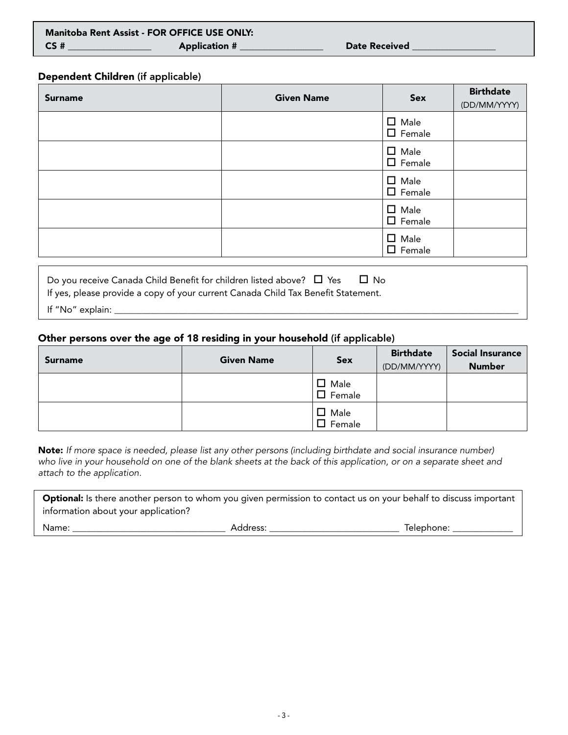## Dependent Children (if applicable)

| <b>Surname</b> | <b>Given Name</b> | Sex                             | <b>Birthdate</b><br>(DD/MM/YYYY) |
|----------------|-------------------|---------------------------------|----------------------------------|
|                |                   | $\Box$ Male<br>$\square$ Female |                                  |
|                |                   | $\Box$ Male<br>$\Box$ Female    |                                  |
|                |                   | $\Box$ Male<br>$\Box$ Female    |                                  |
|                |                   | $\Box$ Male<br>$\square$ Female |                                  |
|                |                   | $\Box$ Male<br>$\Box$ Female    |                                  |
|                | _<br>_            |                                 |                                  |

Do you receive Canada Child Benefit for children listed above?  $\Box$  Yes  $\Box$  No If yes, please provide a copy of your current Canada Child Tax Benefit Statement.

If "No" explain: \_\_\_\_\_\_\_\_\_\_\_\_\_\_\_\_\_\_\_\_\_\_\_\_\_\_\_\_\_\_\_\_\_\_\_\_\_\_\_\_\_\_\_\_\_\_\_\_\_\_\_\_\_\_\_\_\_\_\_\_\_\_\_\_\_\_\_\_\_\_\_\_\_\_\_\_\_\_\_\_\_\_\_\_\_\_\_\_

## Other persons over the age of 18 residing in your household (if applicable)

| <b>Surname</b> | <b>Given Name</b> | <b>Sex</b>                   | <b>Birthdate</b><br>(DD/MM/YYYY) | <b>Social Insurance</b><br><b>Number</b> |
|----------------|-------------------|------------------------------|----------------------------------|------------------------------------------|
|                |                   | $\Box$ Male<br>$\Box$ Female |                                  |                                          |
|                |                   | $\Box$ Male<br>$\Box$ Female |                                  |                                          |

Note: *If more space is needed, please list any other persons (including birthdate and social insurance number) who live in your household on one of the blank sheets at the back of this application, or on a separate sheet and attach to the application.*

| <b>Optional:</b> Is there another person to whom you given permission to contact us on your behalf to discuss important |          |            |
|-------------------------------------------------------------------------------------------------------------------------|----------|------------|
| information about your application?                                                                                     |          |            |
| Name:                                                                                                                   | Address: | Telephone: |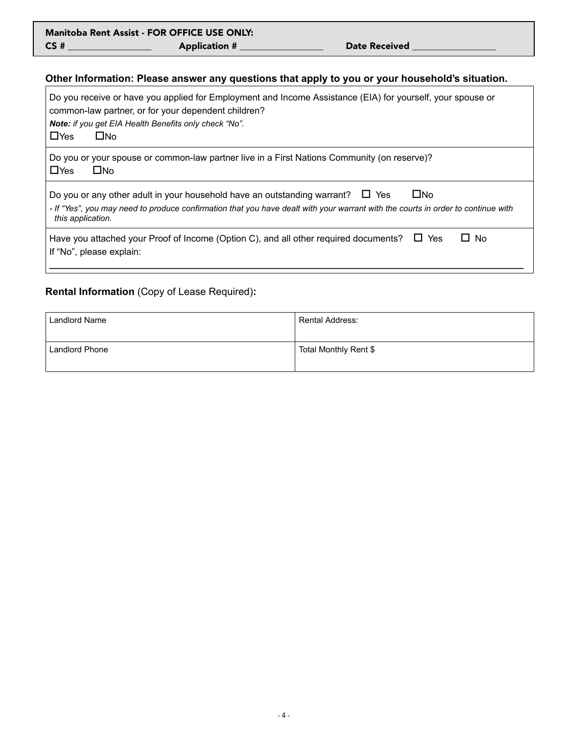| <b>Manitoba Rent Assist - FOR OFFICE USE ONLY:</b> |                      |                      |  |  |
|----------------------------------------------------|----------------------|----------------------|--|--|
| CS#                                                | <b>Application #</b> | <b>Date Received</b> |  |  |

# **Other Information: Please answer any questions that apply to you or your household's situation.**

| Do you receive or have you applied for Employment and Income Assistance (EIA) for yourself, your spouse or<br>common-law partner, or for your dependent children?<br>Note: if you get EIA Health Benefits only check "No".<br>$\Box$ Yes<br>$\square$ No        |
|-----------------------------------------------------------------------------------------------------------------------------------------------------------------------------------------------------------------------------------------------------------------|
| Do you or your spouse or common-law partner live in a First Nations Community (on reserve)?<br>$\Box$ Yes<br>$\square$ No                                                                                                                                       |
| $\square$ No<br>Do you or any other adult in your household have an outstanding warrant? $\square$ Yes<br>- If "Yes", you may need to produce confirmation that you have dealt with your warrant with the courts in order to continue with<br>this application. |
| Have you attached your Proof of Income (Option C), and all other required documents? $\Box$ Yes<br>$\Box$ No<br>If "No", please explain:                                                                                                                        |

# **Rental Information** (Copy of Lease Required)**:**

| Landlord Name  | Rental Address:       |
|----------------|-----------------------|
| Landlord Phone | Total Monthly Rent \$ |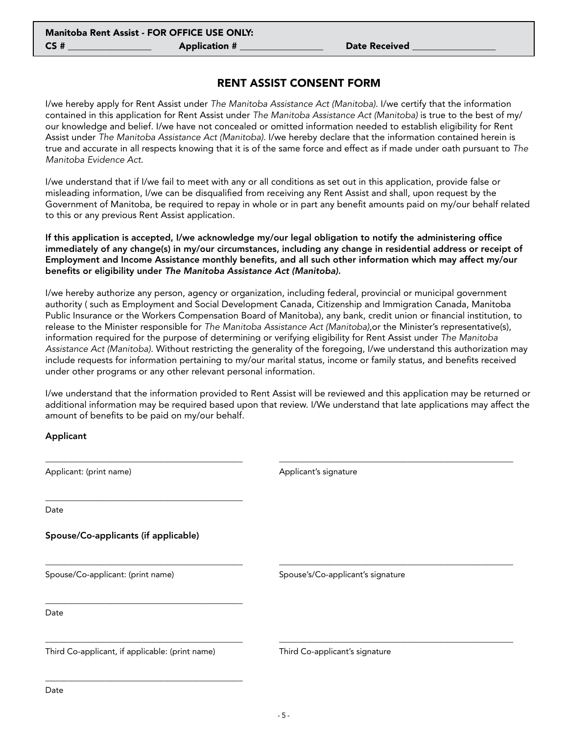## RENT ASSIST CONSENT FORM

I/we hereby apply for Rent Assist under *The Manitoba Assistance Act (Manitoba)*. I/we certify that the information contained in this application for Rent Assist under *The Manitoba Assistance Act (Manitoba)* is true to the best of my/ our knowledge and belief. I/we have not concealed or omitted information needed to establish eligibility for Rent Assist under *The Manitoba Assistance Act (Manitoba)*. I/we hereby declare that the information contained herein is true and accurate in all respects knowing that it is of the same force and effect as if made under oath pursuant to *The Manitoba Evidence Act*.

I/we understand that if I/we fail to meet with any or all conditions as set out in this application, provide false or misleading information, I/we can be disqualified from receiving any Rent Assist and shall, upon request by the Government of Manitoba, be required to repay in whole or in part any benefit amounts paid on my/our behalf related to this or any previous Rent Assist application.

If this application is accepted, I/we acknowledge my/our legal obligation to notify the administering office immediately of any change(s) in my/our circumstances, including any change in residential address or receipt of Employment and Income Assistance monthly benefits, and all such other information which may affect my/our benefits or eligibility under *The Manitoba Assistance Act (Manitoba).*

I/we hereby authorize any person, agency or organization, including federal, provincial or municipal government authority ( such as Employment and Social Development Canada, Citizenship and Immigration Canada, Manitoba Public Insurance or the Workers Compensation Board of Manitoba), any bank, credit union or financial institution, to release to the Minister responsible for *The Manitoba Assistance Act (Manitoba)*,or the Minister's representative(s), information required for the purpose of determining or verifying eligibility for Rent Assist under *The Manitoba Assistance Act (Manitoba)*. Without restricting the generality of the foregoing, I/we understand this authorization may include requests for information pertaining to my/our marital status, income or family status, and benefits received under other programs or any other relevant personal information.

I/we understand that the information provided to Rent Assist will be reviewed and this application may be returned or additional information may be required based upon that review. I/We understand that late applications may affect the amount of benefits to be paid on my/our behalf.

Applicant

| Applicant: (print name)                         | Applicant's signature             |  |
|-------------------------------------------------|-----------------------------------|--|
| Date                                            |                                   |  |
| Spouse/Co-applicants (if applicable)            |                                   |  |
| Spouse/Co-applicant: (print name)               | Spouse's/Co-applicant's signature |  |
| Date                                            |                                   |  |
| Third Co-applicant, if applicable: (print name) | Third Co-applicant's signature    |  |
| Data.                                           |                                   |  |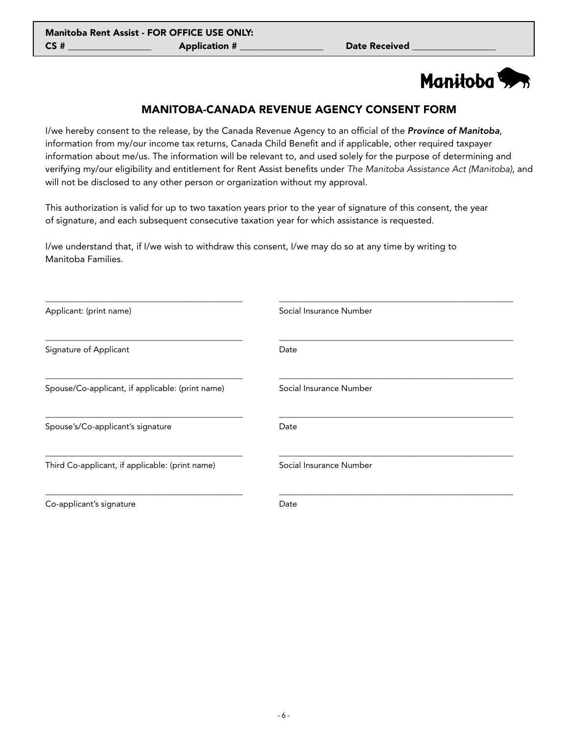# Manitoba<sup>5</sup>

# MANITOBA-CANADA REVENUE AGENCY CONSENT FORM

I/we hereby consent to the release, by the Canada Revenue Agency to an official of the *Province of Manitoba*, information from my/our income tax returns, Canada Child Benefit and if applicable, other required taxpayer information about me/us. The information will be relevant to, and used solely for the purpose of determining and verifying my/our eligibility and entitlement for Rent Assist benefits under *The Manitoba Assistance Act (Manitoba)*, and will not be disclosed to any other person or organization without my approval.

This authorization is valid for up to two taxation years prior to the year of signature of this consent, the year of signature, and each subsequent consecutive taxation year for which assistance is requested.

I/we understand that, if I/we wish to withdraw this consent, I/we may do so at any time by writing to Manitoba Families.

| Social Insurance Number |
|-------------------------|
| Date                    |
| Social Insurance Number |
| Date                    |
| Social Insurance Number |
| Date                    |
|                         |